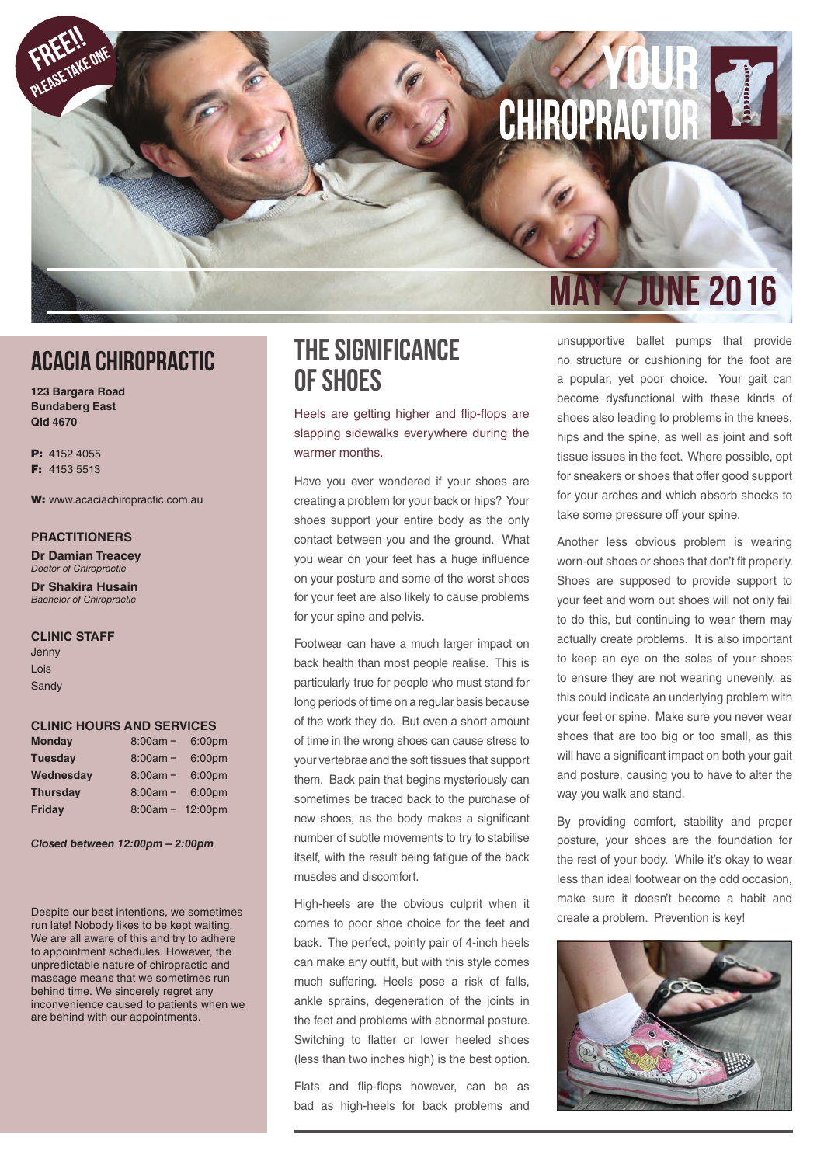# CHIROPRACTOR

# ACACIA CHIROPRACTIC

**123 Bargara Road Bundaberg East Qld 4670**

P: 4152 4055 F: 4153 5513

FREE!! PLEASE TAKE ONE

W: www.acaciachiropractic.com.au

#### **PRACTITIONERS**

**Dr Damian Treacey** *Doctor of Chiropractic*

**Dr Shakira Husain** *Bachelor of Chiropractic*

#### **CLINIC STAFF**

Jenny Lois **Sandy** 

#### **CLINIC HOURS AND SERVICES**

| <b>Monday</b>   | $8:00am -$         | 6:00pm |
|-----------------|--------------------|--------|
| <b>Tuesday</b>  | $8:00am -$         | 6:00pm |
| Wednesday       | $8:00am -$         | 6:00pm |
| <b>Thursday</b> | $8:00am -$         | 6:00pm |
| Friday          | $8:00am - 12:00pm$ |        |

*Closed between 12:00pm – 2:00pm*

Despite our best intentions, we sometimes run late! Nobody likes to be kept waiting. We are all aware of this and try to adhere to appointment schedules. However, the unpredictable nature of chiropractic and massage means that we sometimes run behind time. We sincerely regret any inconvenience caused to patients when we are behind with our appointments.

### The Significance Of Shoes

Heels are getting higher and flip-flops are slapping sidewalks everywhere during the warmer months.

Have you ever wondered if your shoes are creating a problem for your back or hips? Your shoes support your entire body as the only contact between you and the ground. What you wear on your feet has a huge influence on your posture and some of the worst shoes for your feet are also likely to cause problems for your spine and pelvis.

Footwear can have a much larger impact on back health than most people realise. This is particularly true for people who must stand for long periods of time on a regular basis because of the work they do. But even a short amount of time in the wrong shoes can cause stress to your vertebrae and the soft tissues that support them. Back pain that begins mysteriously can sometimes be traced back to the purchase of new shoes, as the body makes a significant number of subtle movements to try to stabilise itself, with the result being fatigue of the back muscles and discomfort.

High-heels are the obvious culprit when it comes to poor shoe choice for the feet and back. The perfect, pointy pair of 4-inch heels can make any outfit, but with this style comes much suffering. Heels pose a risk of falls, ankle sprains, degeneration of the joints in the feet and problems with abnormal posture. Switching to flatter or lower heeled shoes (less than two inches high) is the best option.

Flats and flip-flops however, can be as bad as high-heels for back problems and

# **MY / JUNE 2016**

unsupportive ballet pumps that provide no structure or cushioning for the foot are a popular, yet poor choice. Your gait can become dysfunctional with these kinds of shoes also leading to problems in the knees, hips and the spine, as well as joint and soft tissue issues in the feet. Where possible, opt for sneakers or shoes that offer good support for your arches and which absorb shocks to take some pressure off your spine.

Another less obvious problem is wearing worn-out shoes or shoes that don't fit properly. Shoes are supposed to provide support to your feet and worn out shoes will not only fail to do this, but continuing to wear them may actually create problems. It is also important to keep an eye on the soles of your shoes to ensure they are not wearing unevenly, as this could indicate an underlying problem with your feet or spine. Make sure you never wear shoes that are too big or too small, as this will have a significant impact on both your gait and posture, causing you to have to alter the way you walk and stand.

By providing comfort, stability and proper posture, your shoes are the foundation for the rest of your body. While it's okay to wear less than ideal footwear on the odd occasion, make sure it doesn't become a habit and create a problem. Prevention is key!

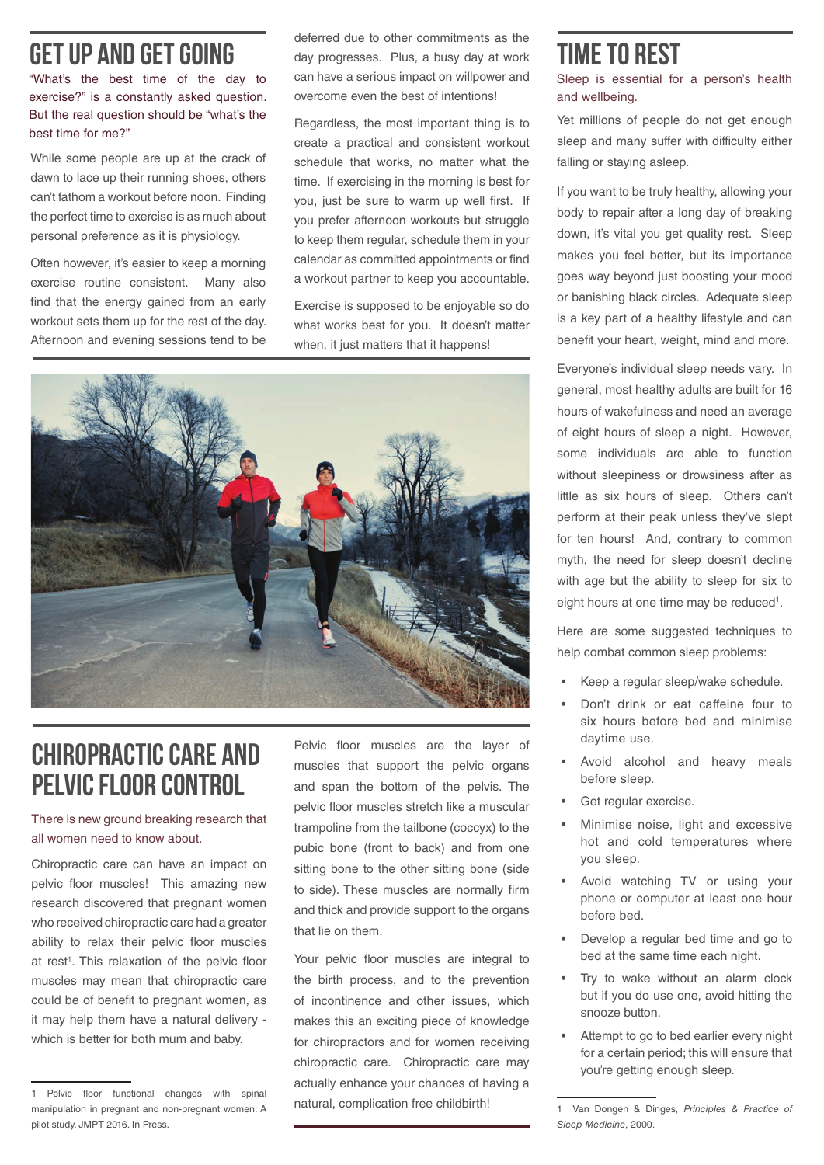# get up and get going

"What's the best time of the day to exercise?" is a constantly asked question. But the real question should be "what's the best time for me?"

While some people are up at the crack of dawn to lace up their running shoes, others can't fathom a workout before noon. Finding the perfect time to exercise is as much about personal preference as it is physiology.

Often however, it's easier to keep a morning exercise routine consistent. Many also find that the energy gained from an early workout sets them up for the rest of the day. Afternoon and evening sessions tend to be deferred due to other commitments as the day progresses. Plus, a busy day at work can have a serious impact on willpower and overcome even the best of intentions!

Regardless, the most important thing is to create a practical and consistent workout schedule that works, no matter what the time. If exercising in the morning is best for you, just be sure to warm up well first. If you prefer afternoon workouts but struggle to keep them regular, schedule them in your calendar as committed appointments or find a workout partner to keep you accountable.

Exercise is supposed to be enjoyable so do what works best for you. It doesn't matter when, it just matters that it happens!



# Chiropractic care and pelvic floor control

#### There is new ground breaking research that all women need to know about.

Chiropractic care can have an impact on pelvic floor muscles! This amazing new research discovered that pregnant women who received chiropractic care had a greater ability to relax their pelvic floor muscles at rest<sup>1</sup>. This relaxation of the pelvic floor muscles may mean that chiropractic care could be of benefit to pregnant women, as it may help them have a natural delivery which is better for both mum and baby.

Pelvic floor muscles are the layer of muscles that support the pelvic organs and span the bottom of the pelvis. The pelvic floor muscles stretch like a muscular trampoline from the tailbone (coccyx) to the pubic bone (front to back) and from one sitting bone to the other sitting bone (side to side). These muscles are normally firm and thick and provide support to the organs that lie on them.

Your pelvic floor muscles are integral to the birth process, and to the prevention of incontinence and other issues, which makes this an exciting piece of knowledge for chiropractors and for women receiving chiropractic care. Chiropractic care may actually enhance your chances of having a natural, complication free childbirth!

# time to rest

Sleep is essential for a person's health and wellbeing.

Yet millions of people do not get enough sleep and many suffer with difficulty either falling or staying asleep.

If you want to be truly healthy, allowing your body to repair after a long day of breaking down, it's vital you get quality rest. Sleep makes you feel better, but its importance goes way beyond just boosting your mood or banishing black circles. Adequate sleep is a key part of a healthy lifestyle and can benefit your heart, weight, mind and more.

Everyone's individual sleep needs vary. In general, most healthy adults are built for 16 hours of wakefulness and need an average of eight hours of sleep a night. However, some individuals are able to function without sleepiness or drowsiness after as little as six hours of sleep. Others can't perform at their peak unless they've slept for ten hours! And, contrary to common myth, the need for sleep doesn't decline with age but the ability to sleep for six to eight hours at one time may be reduced<sup>1</sup>.

Here are some suggested techniques to help combat common sleep problems:

- Keep a regular sleep/wake schedule.
- Don't drink or eat caffeine four to six hours before bed and minimise daytime use.
- Avoid alcohol and heavy meals before sleep.
- Get regular exercise.
- Minimise noise, light and excessive hot and cold temperatures where you sleep.
- Avoid watching TV or using your phone or computer at least one hour before bed.
- Develop a regular bed time and go to bed at the same time each night.
- Try to wake without an alarm clock but if you do use one, avoid hitting the snooze button.
- Attempt to go to bed earlier every night for a certain period; this will ensure that you're getting enough sleep.

<sup>1</sup> Pelvic floor functional changes with spinal manipulation in pregnant and non-pregnant women: A pilot study. JMPT 2016. In Press.

<sup>1</sup> Van Dongen & Dinges, *Principles & Practice of Sleep Medicine*, 2000.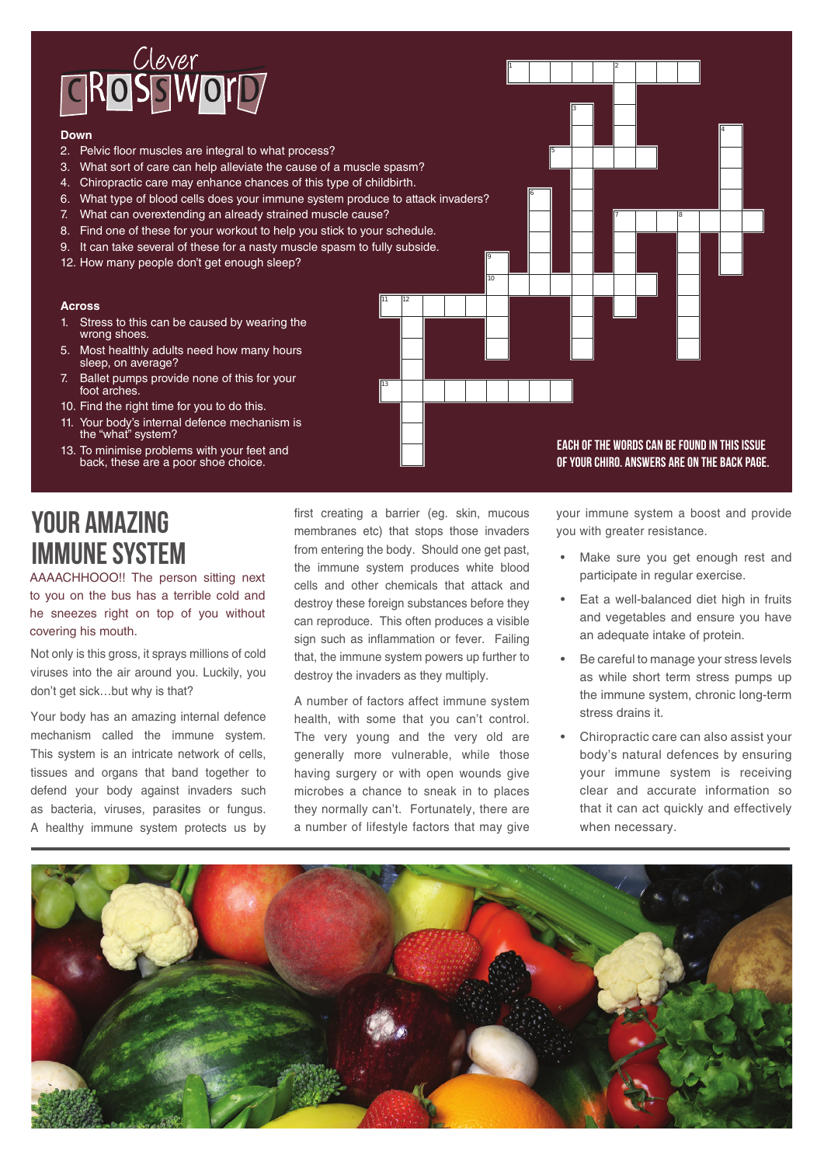

#### **Down**

- 2. Pelvic floor muscles are integral to what process?
- 3. What sort of care can help alleviate the cause of a muscle spasm?
- 4. Chiropractic care may enhance chances of this type of childbirth.
- 6. What type of blood cells does your immune system produce to attack invaders?
- 7. What can overextending an already strained muscle cause?
- 8. Find one of these for your workout to help you stick to your schedule.
- 9. It can take several of these for a nasty muscle spasm to fully subside.
- 12. How many people don't get enough sleep?

#### **Across**

- 1. Stress to this can be caused by wearing the wrong shoes
- 5. Most healthly adults need how many hours sleep, on average?
- 7. Ballet pumps provide none of this for your foot arches.
- 10. Find the right time for you to do this.
- 11. Your body's internal defence mechanism is the "what" system?
- 13. To minimise problems with your feet and back, these are a poor shoe choice.

Each of the words can be found in this issue of Your CHIRO. Answers are on the back page.

7 8

4

1 1 2

5

6

9 10

# your amazing immune system

AAAACHHOOO!! The person sitting next to you on the bus has a terrible cold and he sneezes right on top of you without covering his mouth.

Not only is this gross, it sprays millions of cold viruses into the air around you. Luckily, you don't get sick…but why is that?

Your body has an amazing internal defence mechanism called the immune system. This system is an intricate network of cells, tissues and organs that band together to defend your body against invaders such as bacteria, viruses, parasites or fungus. A healthy immune system protects us by first creating a barrier (eg. skin, mucous membranes etc) that stops those invaders from entering the body. Should one get past, the immune system produces white blood cells and other chemicals that attack and destroy these foreign substances before they can reproduce. This often produces a visible sign such as inflammation or fever. Failing that, the immune system powers up further to destroy the invaders as they multiply.

11 12

13

A number of factors affect immune system health, with some that you can't control. The very young and the very old are generally more vulnerable, while those having surgery or with open wounds give microbes a chance to sneak in to places they normally can't. Fortunately, there are a number of lifestyle factors that may give

your immune system a boost and provide you with greater resistance.

- Make sure you get enough rest and participate in regular exercise.
- Eat a well-balanced diet high in fruits and vegetables and ensure you have an adequate intake of protein.
- Be careful to manage your stress levels as while short term stress pumps up the immune system, chronic long-term stress drains it.
- Chiropractic care can also assist your body's natural defences by ensuring your immune system is receiving clear and accurate information so that it can act quickly and effectively when necessary.